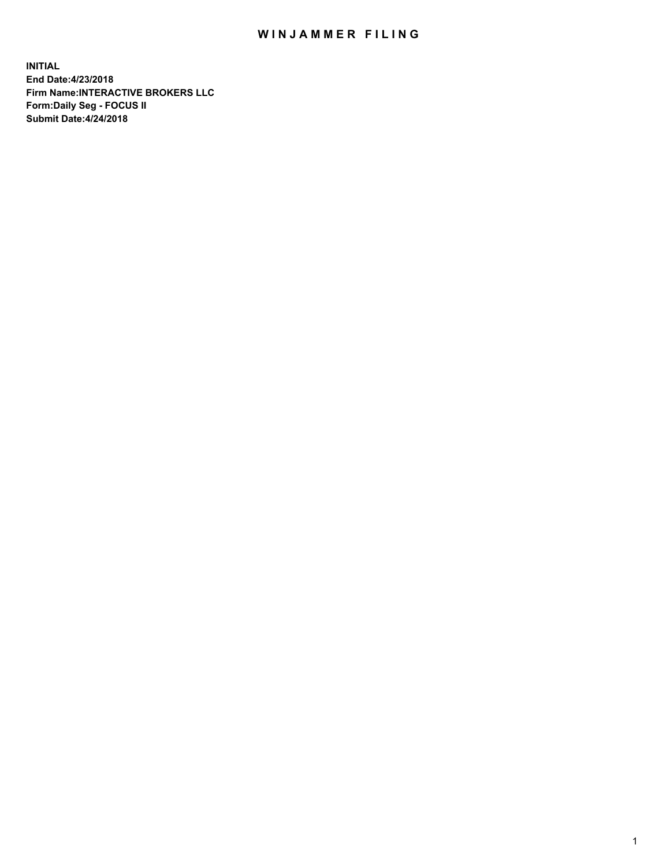## WIN JAMMER FILING

**INITIAL End Date:4/23/2018 Firm Name:INTERACTIVE BROKERS LLC Form:Daily Seg - FOCUS II Submit Date:4/24/2018**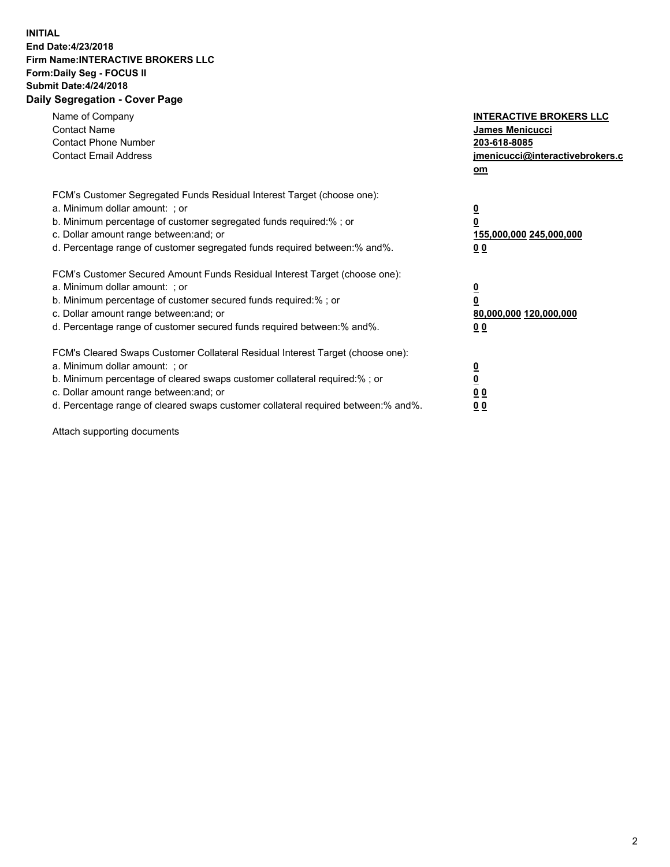## **INITIAL End Date:4/23/2018 Firm Name:INTERACTIVE BROKERS LLC Form:Daily Seg - FOCUS II Submit Date:4/24/2018 Daily Segregation - Cover Page**

| Name of Company<br><b>Contact Name</b><br><b>Contact Phone Number</b><br><b>Contact Email Address</b>                                                                                                                                                                                                                          | <b>INTERACTIVE BROKERS LLC</b><br>James Menicucci<br>203-618-8085<br>jmenicucci@interactivebrokers.c<br>om |
|--------------------------------------------------------------------------------------------------------------------------------------------------------------------------------------------------------------------------------------------------------------------------------------------------------------------------------|------------------------------------------------------------------------------------------------------------|
| FCM's Customer Segregated Funds Residual Interest Target (choose one):<br>a. Minimum dollar amount: ; or<br>b. Minimum percentage of customer segregated funds required:%; or<br>c. Dollar amount range between: and; or<br>d. Percentage range of customer segregated funds required between:% and%.                          | $\overline{\mathbf{0}}$<br>0<br>155,000,000 245,000,000<br>0 <sub>0</sub>                                  |
| FCM's Customer Secured Amount Funds Residual Interest Target (choose one):<br>a. Minimum dollar amount: ; or<br>b. Minimum percentage of customer secured funds required:%; or<br>c. Dollar amount range between: and; or<br>d. Percentage range of customer secured funds required between:% and%.                            | $\overline{\mathbf{0}}$<br>$\overline{\mathbf{0}}$<br>80,000,000 120,000,000<br>00                         |
| FCM's Cleared Swaps Customer Collateral Residual Interest Target (choose one):<br>a. Minimum dollar amount: ; or<br>b. Minimum percentage of cleared swaps customer collateral required:% ; or<br>c. Dollar amount range between: and; or<br>d. Percentage range of cleared swaps customer collateral required between:% and%. | $\overline{\mathbf{0}}$<br>$\overline{\mathbf{0}}$<br>0 <sub>0</sub><br><u>00</u>                          |

Attach supporting documents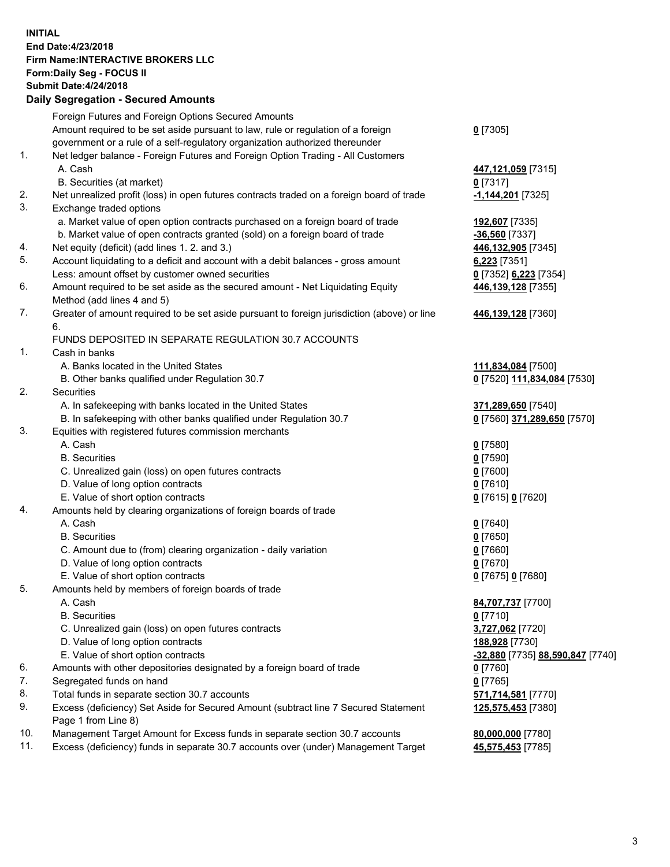## **INITIAL End Date:4/23/2018 Firm Name:INTERACTIVE BROKERS LLC Form:Daily Seg - FOCUS II Submit Date:4/24/2018 Daily Segregation - Secured Amounts**

|                | Daily Ocglegation - Occuled Amounts                                                                        |                                  |
|----------------|------------------------------------------------------------------------------------------------------------|----------------------------------|
|                | Foreign Futures and Foreign Options Secured Amounts                                                        |                                  |
|                | Amount required to be set aside pursuant to law, rule or regulation of a foreign                           | $0$ [7305]                       |
|                | government or a rule of a self-regulatory organization authorized thereunder                               |                                  |
| 1.             | Net ledger balance - Foreign Futures and Foreign Option Trading - All Customers                            |                                  |
|                | A. Cash                                                                                                    | 447,121,059 [7315]               |
|                | B. Securities (at market)                                                                                  | 0 [7317]                         |
| 2.             | Net unrealized profit (loss) in open futures contracts traded on a foreign board of trade                  | -1,144,201 [7325]                |
| 3.             | Exchange traded options                                                                                    |                                  |
|                | a. Market value of open option contracts purchased on a foreign board of trade                             | 192,607 [7335]                   |
|                | b. Market value of open contracts granted (sold) on a foreign board of trade                               | $-36,560$ [7337]                 |
| 4.             | Net equity (deficit) (add lines 1.2. and 3.)                                                               | 446,132,905 [7345]               |
| 5.             | Account liquidating to a deficit and account with a debit balances - gross amount                          | $6,223$ [7351]                   |
|                | Less: amount offset by customer owned securities                                                           | 0 [7352] 6,223 [7354]            |
| 6.             | Amount required to be set aside as the secured amount - Net Liquidating Equity                             | 446,139,128 [7355]               |
|                | Method (add lines 4 and 5)                                                                                 |                                  |
| 7.             | Greater of amount required to be set aside pursuant to foreign jurisdiction (above) or line                | 446,139,128 [7360]               |
|                | 6.                                                                                                         |                                  |
|                | FUNDS DEPOSITED IN SEPARATE REGULATION 30.7 ACCOUNTS                                                       |                                  |
| $\mathbf{1}$ . | Cash in banks                                                                                              |                                  |
|                | A. Banks located in the United States                                                                      | 111,834,084 [7500]               |
|                | B. Other banks qualified under Regulation 30.7                                                             | 0 [7520] 111,834,084 [7530]      |
| 2.             | Securities                                                                                                 |                                  |
|                | A. In safekeeping with banks located in the United States                                                  | 371,289,650 [7540]               |
|                | B. In safekeeping with other banks qualified under Regulation 30.7                                         | 0 [7560] 371,289,650 [7570]      |
| 3.             | Equities with registered futures commission merchants                                                      |                                  |
|                | A. Cash                                                                                                    | $0$ [7580]                       |
|                | <b>B.</b> Securities                                                                                       | $0$ [7590]                       |
|                | C. Unrealized gain (loss) on open futures contracts                                                        | $0$ [7600]                       |
|                | D. Value of long option contracts                                                                          | $0$ [7610]                       |
|                | E. Value of short option contracts                                                                         | 0 [7615] 0 [7620]                |
| 4.             | Amounts held by clearing organizations of foreign boards of trade                                          |                                  |
|                | A. Cash                                                                                                    | $0$ [7640]                       |
|                | <b>B.</b> Securities                                                                                       | $0$ [7650]                       |
|                | C. Amount due to (from) clearing organization - daily variation                                            | $0$ [7660]                       |
|                | D. Value of long option contracts                                                                          | $0$ [7670]                       |
|                | E. Value of short option contracts                                                                         | 0 [7675] 0 [7680]                |
| 5.             | Amounts held by members of foreign boards of trade                                                         |                                  |
|                | A. Cash                                                                                                    | 84,707,737 [7700]                |
|                | <b>B.</b> Securities                                                                                       | $0$ [7710]                       |
|                | C. Unrealized gain (loss) on open futures contracts                                                        | 3,727,062 [7720]                 |
|                | D. Value of long option contracts                                                                          | 188,928 [7730]                   |
|                | E. Value of short option contracts                                                                         | -32,880 [7735] 88,590,847 [7740] |
| 6.             | Amounts with other depositories designated by a foreign board of trade                                     | 0 [7760]                         |
| 7.             | Segregated funds on hand                                                                                   | $0$ [7765]                       |
| 8.             | Total funds in separate section 30.7 accounts                                                              | 571,714,581 [7770]               |
| 9.             | Excess (deficiency) Set Aside for Secured Amount (subtract line 7 Secured Statement<br>Page 1 from Line 8) | 125,575,453 [7380]               |
| 10.            | Management Target Amount for Excess funds in separate section 30.7 accounts                                | 80,000,000 [7780]                |
| 11.            | Excess (deficiency) funds in separate 30.7 accounts over (under) Management Target                         | 45,575,453 [7785]                |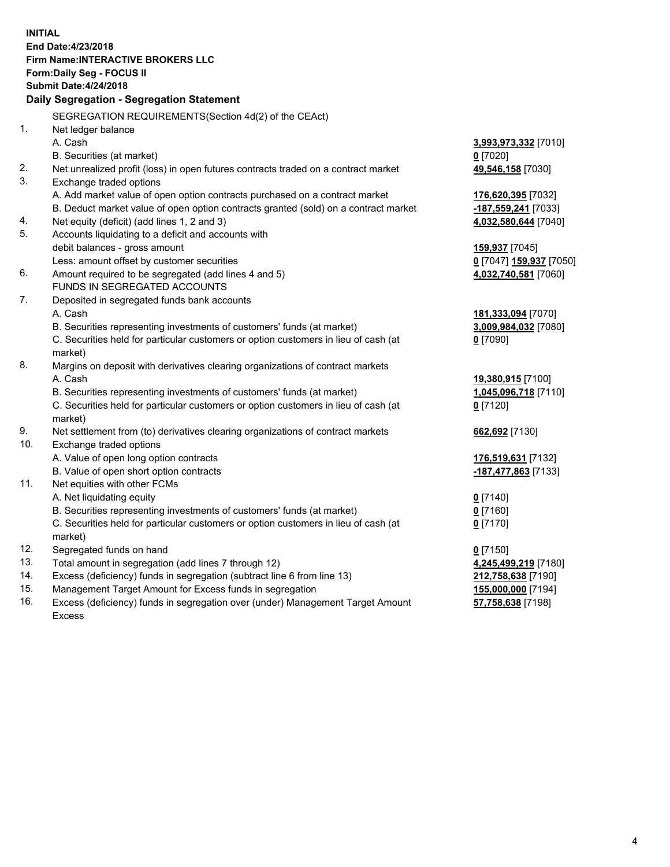**INITIAL End Date:4/23/2018 Firm Name:INTERACTIVE BROKERS LLC Form:Daily Seg - FOCUS II Submit Date:4/24/2018 Daily Segregation - Segregation Statement** SEGREGATION REQUIREMENTS(Section 4d(2) of the CEAct) 1. Net ledger balance A. Cash **3,993,973,332** [7010] B. Securities (at market) **0** [7020] 2. Net unrealized profit (loss) in open futures contracts traded on a contract market **49,546,158** [7030] 3. Exchange traded options A. Add market value of open option contracts purchased on a contract market **176,620,395** [7032] B. Deduct market value of open option contracts granted (sold) on a contract market **-187,559,241** [7033] 4. Net equity (deficit) (add lines 1, 2 and 3) **4,032,580,644** [7040] 5. Accounts liquidating to a deficit and accounts with debit balances - gross amount **159,937** [7045] Less: amount offset by customer securities **0** [7047] **159,937** [7050] 6. Amount required to be segregated (add lines 4 and 5) **4,032,740,581** [7060] FUNDS IN SEGREGATED ACCOUNTS 7. Deposited in segregated funds bank accounts A. Cash **181,333,094** [7070] B. Securities representing investments of customers' funds (at market) **3,009,984,032** [7080] C. Securities held for particular customers or option customers in lieu of cash (at market) **0** [7090] 8. Margins on deposit with derivatives clearing organizations of contract markets A. Cash **19,380,915** [7100] B. Securities representing investments of customers' funds (at market) **1,045,096,718** [7110] C. Securities held for particular customers or option customers in lieu of cash (at market) **0** [7120] 9. Net settlement from (to) derivatives clearing organizations of contract markets **662,692** [7130] 10. Exchange traded options A. Value of open long option contracts **176,519,631** [7132] B. Value of open short option contracts **-187,477,863** [7133] 11. Net equities with other FCMs A. Net liquidating equity **0** [7140] B. Securities representing investments of customers' funds (at market) **0** [7160] C. Securities held for particular customers or option customers in lieu of cash (at market) **0** [7170] 12. Segregated funds on hand **0** [7150] 13. Total amount in segregation (add lines 7 through 12) **4,245,499,219** [7180] 14. Excess (deficiency) funds in segregation (subtract line 6 from line 13) **212,758,638** [7190] 15. Management Target Amount for Excess funds in segregation **155,000,000** [7194]

16. Excess (deficiency) funds in segregation over (under) Management Target Amount Excess

**57,758,638** [7198]